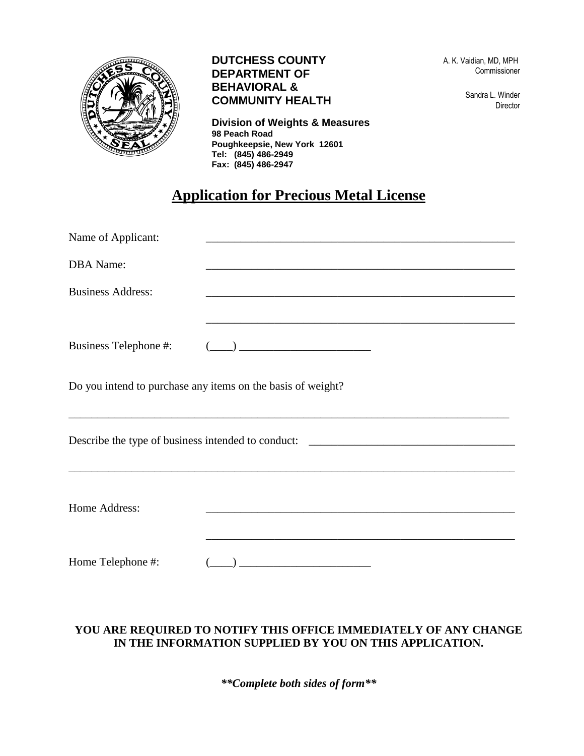

## **DUTCHESS COUNTY DEPARTMENT OF BEHAVIORAL & COMMUNITY HEALTH**

**Division of Weights & Measures 98 Peach Road Poughkeepsie, New York 12601 Tel: (845) 486-2949 Fax: (845) 486-2947**

 A. K. Vaidian, MD, MPH Commissioner

> Sandra L. Winder Director

## **Application for Precious Metal License**

| Name of Applicant:                                                                |                                                                                                                      |  |  |
|-----------------------------------------------------------------------------------|----------------------------------------------------------------------------------------------------------------------|--|--|
| <b>DBA</b> Name:                                                                  | <u> 1989 - Johann John Stone, markin film yn y brenin y brenin y brenin y brenin y brenin y brenin y brenin y br</u> |  |  |
| <b>Business Address:</b>                                                          |                                                                                                                      |  |  |
|                                                                                   |                                                                                                                      |  |  |
| Business Telephone #:                                                             | <u> 1980 - Johann Barn, mars and de Brasil</u>                                                                       |  |  |
|                                                                                   | Do you intend to purchase any items on the basis of weight?                                                          |  |  |
| Describe the type of business intended to conduct: ______________________________ |                                                                                                                      |  |  |
| Home Address:                                                                     | <u> 1989 - Johann Stein, marwolaethau a bhann an t-Amhair an t-Amhair an t-Amhair an t-Amhair an t-Amhair an t-A</u> |  |  |
|                                                                                   |                                                                                                                      |  |  |
| Home Telephone #:                                                                 |                                                                                                                      |  |  |

## **YOU ARE REQUIRED TO NOTIFY THIS OFFICE IMMEDIATELY OF ANY CHANGE IN THE INFORMATION SUPPLIED BY YOU ON THIS APPLICATION.**

*\*\*Complete both sides of form\*\**